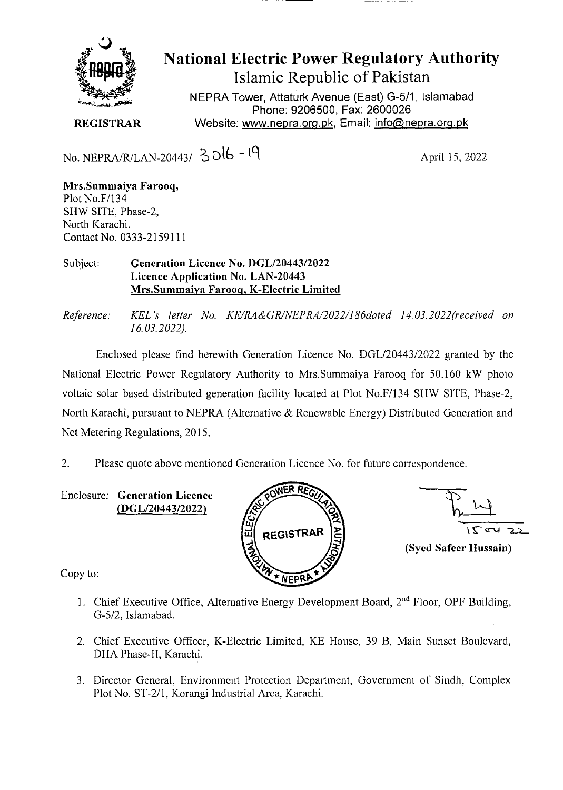

**National Electric Power Regulatory Authority Islamic Republic of Pakistan** 

NEPRA Tower, Attaturk Avenue (East) G-511 Islamabad Phone: 9206500, Fax: 2600026 **REGISTRAR** Website: www.nepra.org.pk, Email: info@nepra.org.pk

No. NEPRA/R/LAN-20443/  $3016 - 19$  April 15, 2022

**Mrs.Summaiya Farooq,**  Plot No.F/134 SHW SITE, Phase-2, North Karachi. Contact No. 0333-2159111

**Subject: Generation Licence No.** *1)GL/2044312022*  **Licence Application No. LAN-20443 Mrs.Summaiya Farooq, K-Electric Limited** 

*Reference: KEL 's letter No. KE/RA&GRINEPRA/2022/186dated 14. 03.2022('received on 16.03.2022).* 

Enclosed please find herewith Generation Licence No. DGL/20443/2022 granted by the National Electric Power Regulatory Authority to Mrs.Summaiya Farooq for 50.160 kW photo voltaic solar based distributed generation facility located at Plot No.F/134 SHW SITE, Phase-2, North Karachi, pursuant to NEPRA (Alternative & Renewable Energy) Distributed Generation and Net Metering Regulations, 2015.

2. Please quote above mentioned Generation Licence No. for future correspondence.

Enclosure: **Generation Licence (DGL/20443/2022)** 



 $\frac{2}{2}$ <br> $\frac{2}{2}$ **(Syed Safeer Hussain)** 

Copy to:

- 1. Chief Executive Office, Alternative Energy Development Board, 2<sup>nd</sup> Floor, OPF Building, *G-512,* Islamabad.
- 2. Chief Executive Officer, K-Electric Limited, KE House, 39 B, Main Sunset Boulevard, DHA Phase-II, Karachi.
- 3. Director General, Environment Protection Department, Government of Sindh, Complex Plot No. ST-2/1, Korangi Industrial Area, Karachi.